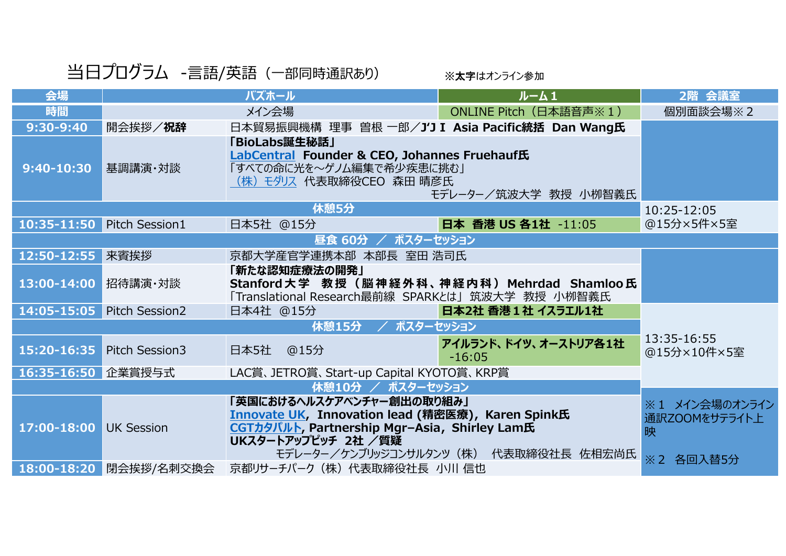## 当日プログラム -言語/英語 (一部同時通訳あり) ※太字はオンライン参加

| 会場                   |                       | バズホール                                                                                                                                                        | ルーム1                                  | 2階 会議室                               |
|----------------------|-----------------------|--------------------------------------------------------------------------------------------------------------------------------------------------------------|---------------------------------------|--------------------------------------|
| 時間                   |                       | メイン会場                                                                                                                                                        | ONLINE Pitch (日本語音声※1)                | 個別面談会場※2                             |
| 9:30-9:40            | 開会挨拶/祝辞               | 日本貿易振興機構 理事 曽根 一郎/J'J I Asia Pacific統括 Dan Wang氏                                                                                                             |                                       |                                      |
| 9:40-10:30           | 基調講演・対談               | 「BioLabs誕生秘話」<br>LabCentral Founder & CEO, Johannes Fruehauf氏<br>「すべての命に光を~ゲノム編集で希少疾患に挑む」<br>(株)モダリス 代表取締役CEO 森田 晴彦氏                                         | モデレーター/筑波大学 教授 小栁智義氏                  |                                      |
|                      |                       | 休憩5分                                                                                                                                                         |                                       | 10:25-12:05                          |
| 10:35-11:50          | <b>Pitch Session1</b> | 日本5社 @15分                                                                                                                                                    | 日本 香港 US 各1社 -11:05                   | @15分×5件×5室                           |
|                      |                       |                                                                                                                                                              |                                       |                                      |
| 12:50-12:55          | 来賓挨拶                  | 京都大学産官学連携本部 本部長 室田 浩司氏                                                                                                                                       |                                       |                                      |
| 13:00-14:00          | 招待講演・対談               | 「新たな認知症療法の開発」<br>Stanford大学 教授 (脳神経外科、神経内科) Mehrdad Shamloo氏<br>「Translational Research最前線 SPARKとは」筑波大学 教授 小栁智義氏                                             |                                       |                                      |
| 14:05-15:05          | <b>Pitch Session2</b> | 日本4社 @15分                                                                                                                                                    | 日本2社 香港1社 イスラエル1社                     |                                      |
| / ポスターセッション<br>休憩15分 |                       |                                                                                                                                                              |                                       |                                      |
| 15:20-16:35          | Pitch Session3        | 日本5社<br>@15分                                                                                                                                                 | アイルランド、ドイツ、オーストリア各1社<br>$-16:05$      | 13:35-16:55<br>@15分×10件×5室           |
| 16:35-16:50 企業賞授与式   |                       | LAC賞、JETRO賞、Start-up Capital KYOTO賞、KRP賞                                                                                                                     |                                       |                                      |
|                      |                       |                                                                                                                                                              |                                       |                                      |
| 17:00-18:00          | <b>UK Session</b>     | 「英国におけるヘルスケアベンチャー創出の取り組み」<br><b>Innovate UK, Innovation lead (精密医療), Karen Spink氏</b><br>CGTカタパルト, Partnership Mgr-Asia, Shirley Lam氏<br>UKスタートアップピッチ 2社 /質疑 | モデレーター/ケンブリッジコンサルタンツ(株) 代表取締役社長 佐相宏尚氏 | ※1 メイン会場のオンライン<br>通訳ZOOMをサテライト上<br>映 |
| 18:00-18:20          | 閉会挨拶/名刺交換会            | 京都リサーチパーク (株) 代表取締役社長 小川 信也                                                                                                                                  |                                       | ※2 各回入替5分                            |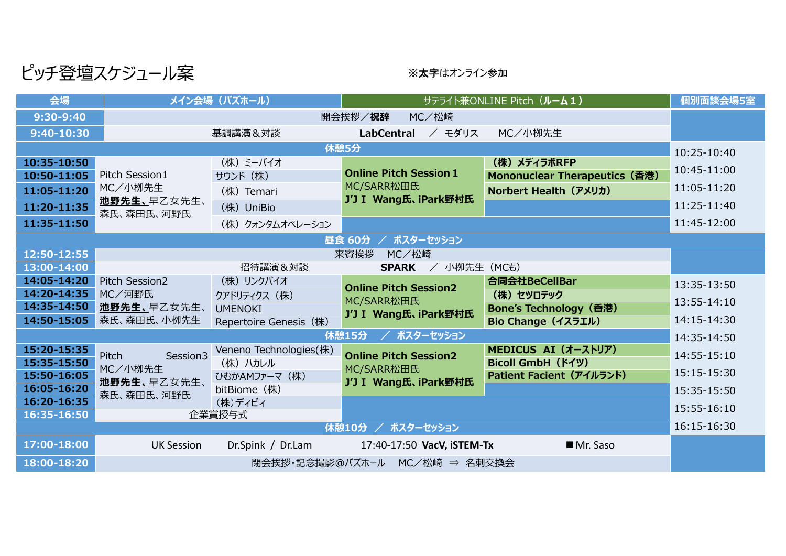ピッチ登壇スケジュール案 ※メキはオンライン参加

| 会場                         | メイン会場 (バズホール)                            |                        | サテライト兼ONLINE Pitch (ルーム1)                                           |                               | 個別面談会場5室    |
|----------------------------|------------------------------------------|------------------------|---------------------------------------------------------------------|-------------------------------|-------------|
| 9:30-9:40                  | 開会挨拶/祝辞<br>MC/松崎                         |                        |                                                                     |                               |             |
| 9:40-10:30                 |                                          | 基調講演&対談                | <b>LabCentral</b><br><b>/ モダリス</b>                                  | MC/小栁先生                       |             |
|                            |                                          |                        | 休憩5分                                                                |                               | 10:25-10:40 |
| 10:35-10:50                |                                          | (株) ミーバイオ              |                                                                     | (株) メディラボRFP                  | 10:45-11:00 |
| 10:50-11:05                | Pitch Session1<br>MC/小栁先生<br>他野先生、早乙女先生、 | サウンド (株)               | <b>Online Pitch Session 1</b><br>MC/SARR松田氏<br>J'J I Wang氏、iPark野村氏 | Mononuclear Therapeutics (香港) |             |
| 11:05-11:20                |                                          | (株) Temari             |                                                                     | Norbert Health (アメリカ)         | 11:05-11:20 |
| 11:20-11:35                | 森氏、森田氏、河野氏                               | (株) UniBio             |                                                                     |                               | 11:25-11:40 |
| 11:35-11:50                |                                          | (株) クォンタムオペレーション       |                                                                     |                               | 11:45-12:00 |
| 昼食 60分<br>/ ポスターセッション      |                                          |                        |                                                                     |                               |             |
| 12:50-12:55                | 来賓挨拶<br>MC/松崎                            |                        |                                                                     |                               |             |
| 13:00-14:00                |                                          | 招待講演&対談                | SPARK / 小栁先生 (MCも)                                                  |                               |             |
| 14:05-14:20                | Pitch Session2                           | (株) リンクバイオ             | <b>Online Pitch Session2</b>                                        | 合同会社BeCellBar                 | 13:35-13:50 |
| 14:20-14:35                | MC/河野氏                                   | クアドリティクス (株)           | MC/SARR松田氏                                                          | (株) セツロテック                    | 13:55-14:10 |
| 14:35-14:50<br>14:50-15:05 | 池野先生、早乙女先生、<br>森氏、森田氏、小栁先生               | <b>UMENOKI</b>         | J'J I Wang氏、iPark野村氏                                                | Bone's Technology (香港)        | 14:15-14:30 |
|                            |                                          | Repertoire Genesis (株) | / ポスターセッション<br>休憩15分                                                | Bio Change (イスラエル)            |             |
| 15:20-15:35                |                                          | Veneno Technologies(株) |                                                                     | MEDICUS AI (オーストリア)           | 14:35-14:50 |
| 15:35-15:50                | Session3<br><b>Pitch</b>                 | (株) ハカレル               | <b>Online Pitch Session2</b>                                        | <b>Bicoll GmbH (ドイツ)</b>      | 14:55-15:10 |
| 15:50-16:05                | MC/小栁先生<br>池野先生、早乙女先生、<br>森氏、森田氏、河野氏     | ひむかAMファーマ (株)          | MC/SARR松田氏                                                          | Patient Facient (アイルランド)      | 15:15-15:30 |
| 16:05-16:20                |                                          | bitBiome (株)           | J'J I Wang氏、iPark野村氏                                                |                               | 15:35-15:50 |
| 16:20-16:35                |                                          | (株)ディビィ                |                                                                     |                               | 15:55-16:10 |
| 16:35-16:50                |                                          | 企業賞授与式                 |                                                                     |                               | 16:15-16:30 |
| 休憩10分 / ポスターセッション          |                                          |                        |                                                                     |                               |             |
| 17:00-18:00                | <b>UK Session</b>                        | Dr.Spink / Dr.Lam      | 17:40-17:50 VacV, iSTEM-Tx                                          | Mr. Saso                      |             |
| 18:00-18:20                | 閉会挨拶・記念撮影@バズホール MC/松崎 ⇒ 名刺交換会            |                        |                                                                     |                               |             |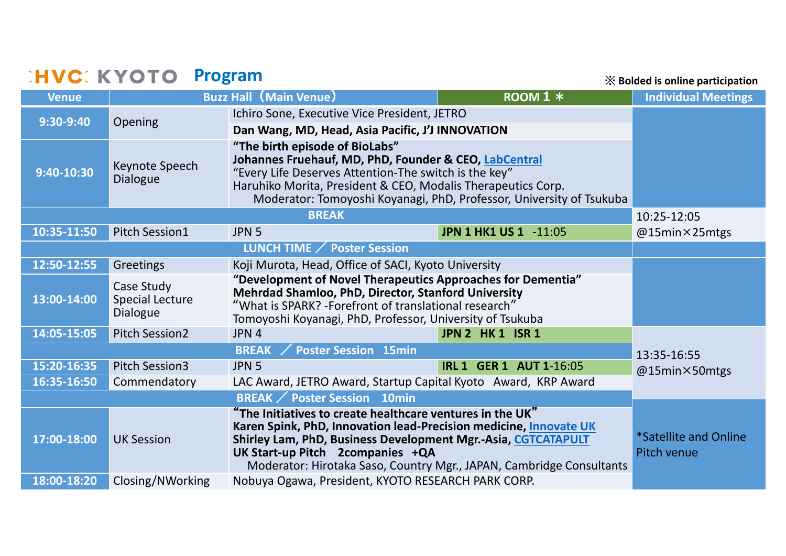## **PROGRAM SHIPS STATE PROGRAM**

※ **Bolded is online participation**

| Venue                                       |                                                  | <b>Buzz Hall (Main Venue)</b>                                                                                                                                                                                                                                                                               | $Room 1 *$                   | <b>Individual Meetings</b>           |  |
|---------------------------------------------|--------------------------------------------------|-------------------------------------------------------------------------------------------------------------------------------------------------------------------------------------------------------------------------------------------------------------------------------------------------------------|------------------------------|--------------------------------------|--|
| 9:30-9:40                                   | Opening                                          | Ichiro Sone, Executive Vice President, JETRO                                                                                                                                                                                                                                                                |                              |                                      |  |
|                                             |                                                  | Dan Wang, MD, Head, Asia Pacific, J'J INNOVATION                                                                                                                                                                                                                                                            |                              |                                      |  |
| $9:40-10:30$                                | Keynote Speech<br>Dialogue                       | "The birth episode of BioLabs"<br>Johannes Fruehauf, MD, PhD, Founder & CEO, LabCentral<br>"Every Life Deserves Attention-The switch is the key"<br>Haruhiko Morita, President & CEO, Modalis Therapeutics Corp.<br>Moderator: Tomoyoshi Koyanagi, PhD, Professor, University of Tsukuba                    |                              |                                      |  |
|                                             | 10:25-12:05                                      |                                                                                                                                                                                                                                                                                                             |                              |                                      |  |
| 10:35-11:50                                 | <b>Pitch Session1</b>                            | JPN <sub>5</sub>                                                                                                                                                                                                                                                                                            | <b>JPN 1 HK1 US 1 -11:05</b> | @15min×25mtgs                        |  |
|                                             |                                                  |                                                                                                                                                                                                                                                                                                             |                              |                                      |  |
| 12:50-12:55                                 | Greetings                                        | Koji Murota, Head, Office of SACI, Kyoto University                                                                                                                                                                                                                                                         |                              |                                      |  |
| 13:00-14:00                                 | Case Study<br><b>Special Lecture</b><br>Dialogue | "Development of Novel Therapeutics Approaches for Dementia"<br>Mehrdad Shamloo, PhD, Director, Stanford University<br>"What is SPARK? -Forefront of translational research"<br>Tomoyoshi Koyanagi, PhD, Professor, University of Tsukuba                                                                    |                              |                                      |  |
| 14:05-15:05                                 | <b>Pitch Session2</b>                            | JPN 4                                                                                                                                                                                                                                                                                                       | JPN 2 HK 1 ISR 1             |                                      |  |
| <b>Poster Session 15min</b><br><b>BREAK</b> |                                                  |                                                                                                                                                                                                                                                                                                             |                              | 13:35-16:55                          |  |
| 15:20-16:35                                 | <b>Pitch Session3</b>                            | <b>IRL 1 GER 1 AUT 1-16:05</b><br>JPN <sub>5</sub>                                                                                                                                                                                                                                                          |                              | @15min×50mtgs                        |  |
| 16:35-16:50                                 | Commendatory                                     | LAC Award, JETRO Award, Startup Capital Kyoto Award, KRP Award                                                                                                                                                                                                                                              |                              |                                      |  |
|                                             |                                                  |                                                                                                                                                                                                                                                                                                             |                              |                                      |  |
| 17:00-18:00                                 | <b>UK Session</b>                                | "The Initiatives to create healthcare ventures in the UK"<br>Karen Spink, PhD, Innovation lead-Precision medicine, Innovate UK<br>Shirley Lam, PhD, Business Development Mgr.-Asia, CGTCATAPULT<br>UK Start-up Pitch 2companies +QA<br>Moderator: Hirotaka Saso, Country Mgr., JAPAN, Cambridge Consultants |                              | *Satellite and Online<br>Pitch venue |  |
| 18:00-18:20                                 | Closing/NWorking                                 | Nobuya Ogawa, President, KYOTO RESEARCH PARK CORP.                                                                                                                                                                                                                                                          |                              |                                      |  |